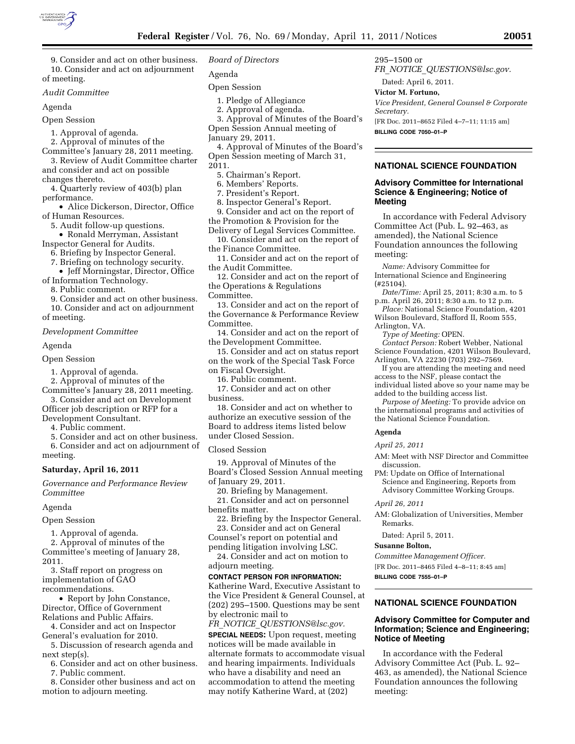

9. Consider and act on other business. 10. Consider and act on adjournment of meeting.

#### *Audit Committee*

Agenda

Open Session

1. Approval of agenda.

2. Approval of minutes of the

Committee's January 28, 2011 meeting. 3. Review of Audit Committee charter

and consider and act on possible changes thereto.

4. Quarterly review of 403(b) plan performance.

• Alice Dickerson, Director, Office of Human Resources.

5. Audit follow-up questions.

- Ronald Merryman, Assistant Inspector General for Audits.
	- 6. Briefing by Inspector General.

7. Briefing on technology security.

• Jeff Morningstar, Director, Office

of Information Technology.

8. Public comment.

9. Consider and act on other business. 10. Consider and act on adjournment

of meeting.

*Development Committee* 

#### Agenda

Open Session

1. Approval of agenda.

2. Approval of minutes of the

Committee's January 28, 2011 meeting. 3. Consider and act on Development

Officer job description or RFP for a Development Consultant.

4. Public comment.

5. Consider and act on other business.

6. Consider and act on adjournment of meeting.

## **Saturday, April 16, 2011**

*Governance and Performance Review Committee* 

#### Agenda

Open Session

1. Approval of agenda.

2. Approval of minutes of the Committee's meeting of January 28, 2011.

3. Staff report on progress on implementation of GAO

recommendations.

• Report by John Constance, Director, Office of Government Relations and Public Affairs.

4. Consider and act on Inspector General's evaluation for 2010.

5. Discussion of research agenda and next step(s).

6. Consider and act on other business.

7. Public comment.

8. Consider other business and act on motion to adjourn meeting.

## *Board of Directors*

Agenda

Open Session

- 1. Pledge of Allegiance
- 2. Approval of agenda.
- 3. Approval of Minutes of the Board's Open Session Annual meeting of
- January 29, 2011.

4. Approval of Minutes of the Board's Open Session meeting of March 31, 2011.

5. Chairman's Report.

6. Members' Reports.

7. President's Report.

8. Inspector General's Report.

9. Consider and act on the report of the Promotion & Provision for the

Delivery of Legal Services Committee.

10. Consider and act on the report of the Finance Committee.

11. Consider and act on the report of the Audit Committee.

12. Consider and act on the report of the Operations & Regulations

Committee.

13. Consider and act on the report of the Governance & Performance Review Committee.

14. Consider and act on the report of the Development Committee.

15. Consider and act on status report on the work of the Special Task Force on Fiscal Oversight.

16. Public comment.

17. Consider and act on other business.

18. Consider and act on whether to authorize an executive session of the Board to address items listed below under Closed Session.

Closed Session

19. Approval of Minutes of the Board's Closed Session Annual meeting of January 29, 2011.

20. Briefing by Management.

21. Consider and act on personnel benefits matter.

22. Briefing by the Inspector General. 23. Consider and act on General

Counsel's report on potential and pending litigation involving LSC.

24. Consider and act on motion to adjourn meeting.

## **CONTACT PERSON FOR INFORMATION:**

Katherine Ward, Executive Assistant to the Vice President & General Counsel, at (202) 295–1500. Questions may be sent by electronic mail to

*FR*\_*NOTICE*\_*[QUESTIONS@lsc.gov.](mailto:FR_NOTICE_QUESTIONS@lsc.gov)* 

**SPECIAL NEEDS:** Upon request, meeting notices will be made available in alternate formats to accommodate visual and hearing impairments. Individuals who have a disability and need an accommodation to attend the meeting may notify Katherine Ward, at (202)

295–1500 or

*FR*\_*NOTICE*\_*[QUESTIONS@lsc.gov.](mailto:FR_NOTICE_QUESTIONS@lsc.gov)* 

## Dated: April 6, 2011. **Victor M. Fortuno,**

*Vice President, General Counsel & Corporate Secretary.* 

[FR Doc. 2011–8652 Filed 4–7–11; 11:15 am] **BILLING CODE 7050–01–P** 

## **NATIONAL SCIENCE FOUNDATION**

## **Advisory Committee for International Science & Engineering; Notice of Meeting**

In accordance with Federal Advisory Committee Act (Pub. L. 92–463, as amended), the National Science Foundation announces the following meeting:

*Name:* Advisory Committee for International Science and Engineering (#25104).

*Date/Time:* April 25, 2011; 8:30 a.m. to 5 p.m. April 26, 2011; 8:30 a.m. to 12 p.m.

*Place:* National Science Foundation, 4201 Wilson Boulevard, Stafford II, Room 555, Arlington, VA.

*Type of Meeting:* OPEN.

*Contact Person:* Robert Webber, National Science Foundation, 4201 Wilson Boulevard, Arlington, VA 22230 (703) 292–7569.

If you are attending the meeting and need access to the NSF, please contact the individual listed above so your name may be added to the building access list.

*Purpose of Meeting:* To provide advice on the international programs and activities of the National Science Foundation.

#### **Agenda**

*April 25, 2011* 

*April 26, 2011* 

Remarks.

Dated: April 5, 2011. **Susanne Bolton,** 

**BILLING CODE 7555–01–P** 

**Notice of Meeting** 

meeting:

*Committee Management Officer.*  [FR Doc. 2011–8465 Filed 4–8–11; 8:45 am]

AM: Meet with NSF Director and Committee discussion.

AM: Globalization of Universities, Member

**NATIONAL SCIENCE FOUNDATION Advisory Committee for Computer and Information; Science and Engineering;** 

In accordance with the Federal Advisory Committee Act (Pub. L. 92– 463, as amended), the National Science Foundation announces the following

PM: Update on Office of International Science and Engineering, Reports from Advisory Committee Working Groups.